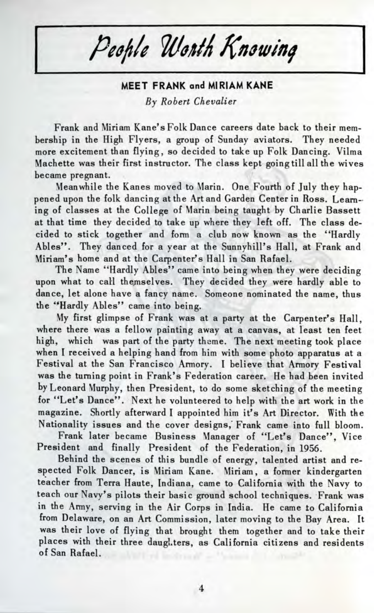People Worth Knowing

## **MEET FRANK and MIRIAM KANE** *By Robert Chevalier*

Frank and Miriam Kane's Folk Dance careers date back to their membership in the High Flyers, a group of Sunday aviators. They needed more excitement than flying, so decided to take up Folk Dancing. Vilma Machette was their first instructor. The class kept going till all the wives became pregnant.

Meanwhile the Kanes moved to Marin. One Fourth of July they happened upon the folk dancing at the Art and Garden Center in Ross. Learning of classes at the College of Marin being taught by Charlie Bassett at that time they decided to take up where they left off. The class decided to stick together and form a club now known as the "Hardly Abies". They danced for a year at the Sunnyhill's Hall, at Frank and Miriam's home and at the Carpenter's Hall in San Rafael.

The Name "Hardly Abies" came into being when they were deciding upon what to call themselves. They decided they were hardly able to dance, let alone have a fancy name. Someone nominated the name, thus the "Hardly Abies" came into being.

My first glimpse of Frank was at a party at the Carpenter's Hall, where there was a fellow painting away at a canvas, at least ten feet high, which was part of the party theme. The next meeting took place when I received a helping hand from him with some photo apparatus at a Festival at the San Francisco Armory. I believe that Armory Festival was the turning point in Frank's Federation career. He had been invited by Leonard Murphy, then President, to do some sketching of the meeting for "Let's Dance". Next he volunteered to help with the art work in the magazine. Shortly afterward I appointed him it's Art Director. With the Nationality issues and the cover designs, Frank came into full bloom.

Frank later became Business Manager of "Let's Dance", Vice President and finally President of the Federation, in 1956.

Behind the scenes of this bundle of energy, talented artist and respected Folk Dancer, is Miriam Kane. Miriam, a former kindergarten teacher from Terra Haute, Indiana, came to California with the Navy to teach our Navy's pilots their basic ground school techniques. Frank was in the Army, serving in the Air Corps in India. He came to California from Delaware, on an Art Commission, later moving to the Bay Area. It was their love of flying that brought them together and to take their places with their three daughters, as California citizens and residents of San Rafael.